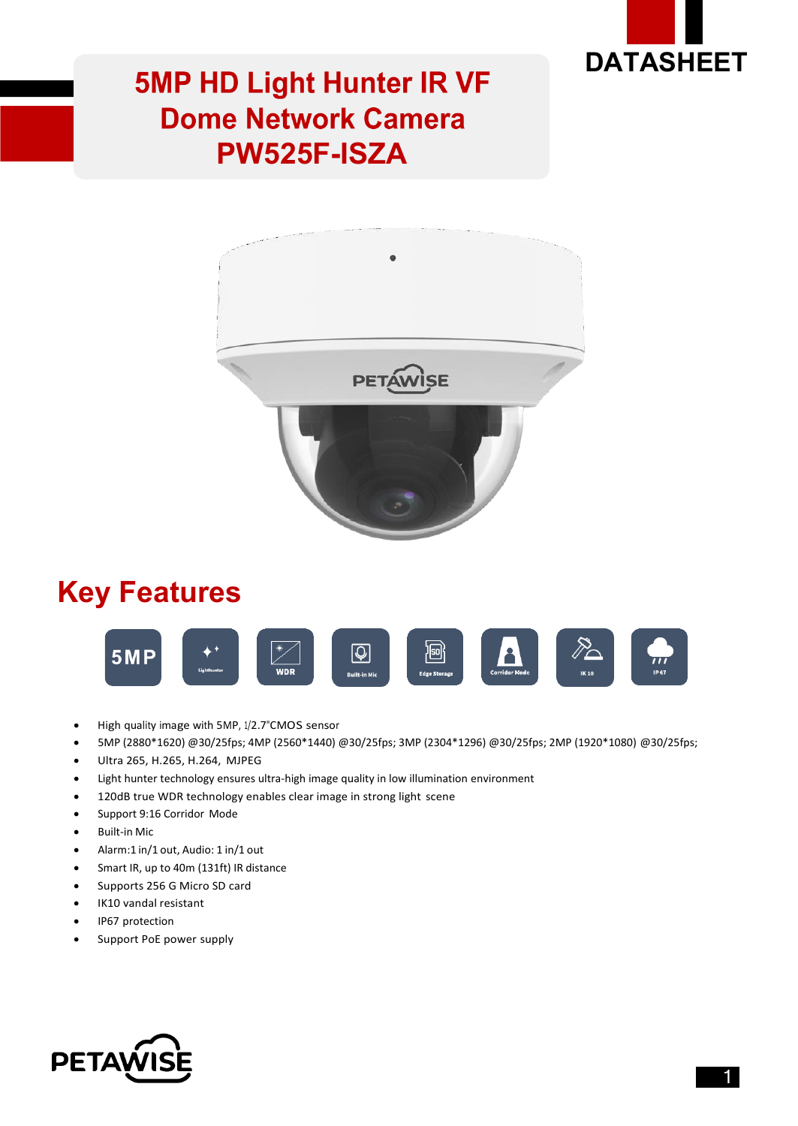

# **5MP HD Light Hunter IR VF Dome Network Camera PW525F-ISZA**



### **Key Features**



- High quality image with 5MP, 1/2.7"CMOS sensor
- 5MP (2880\*1620) @30/25fps; 4MP (2560\*1440) @30/25fps; 3MP (2304\*1296) @30/25fps; 2MP (1920\*1080) @30/25fps;
- Ultra 265, H.265, H.264, MJPEG
- Light hunter technology ensures ultra-high image quality in low illumination environment
- 120dB true WDR technology enables clear image in strong light scene
- Support 9:16 Corridor Mode
- Built-in Mic
- Alarm:1 in/1 out, Audio: 1 in/1 out
- Smart IR, up to 40m (131ft) IR distance
- Supports 256 G Micro SD card
- IK10 vandal resistant
- IP67 protection
- Support PoE power supply

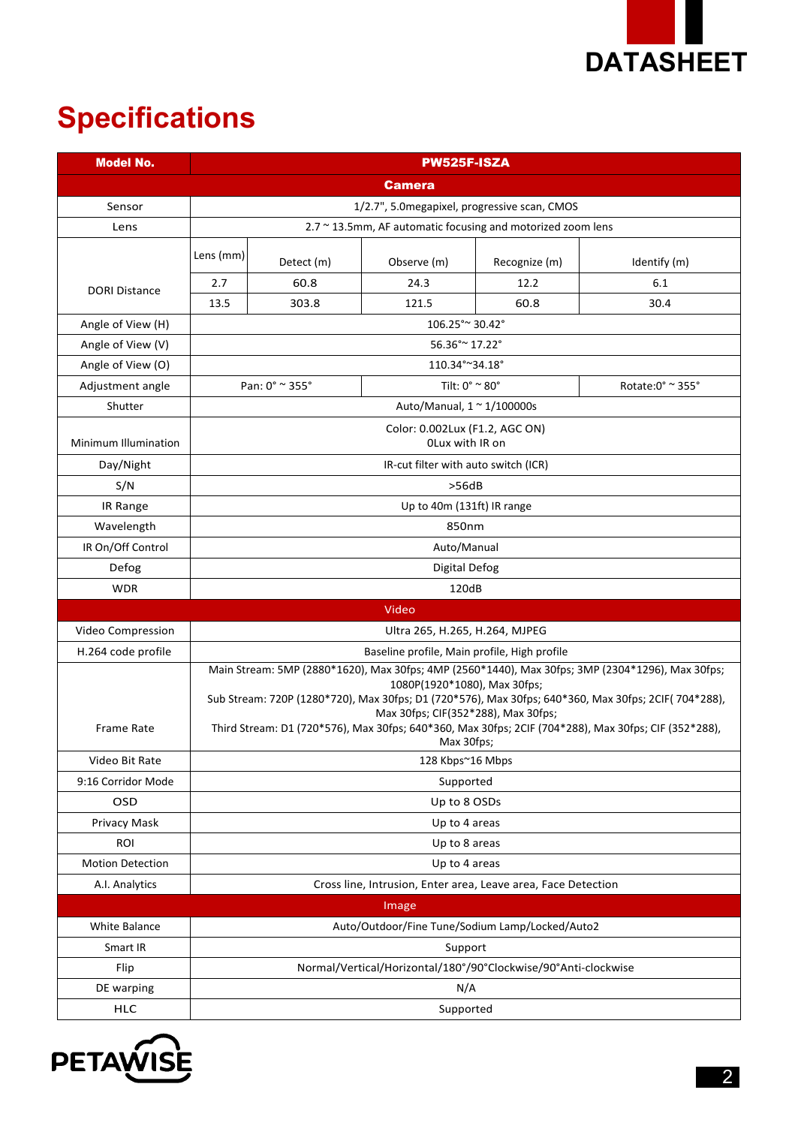

# **Specifications**

| <b>Model No.</b>        | <b>PW525F-ISZA</b>                                                                                                                                                                                                                                                                                                                                                                                   |            |                               |               |                  |  |
|-------------------------|------------------------------------------------------------------------------------------------------------------------------------------------------------------------------------------------------------------------------------------------------------------------------------------------------------------------------------------------------------------------------------------------------|------------|-------------------------------|---------------|------------------|--|
|                         | <b>Camera</b>                                                                                                                                                                                                                                                                                                                                                                                        |            |                               |               |                  |  |
| Sensor                  | 1/2.7", 5.0 megapixel, progressive scan, CMOS                                                                                                                                                                                                                                                                                                                                                        |            |                               |               |                  |  |
| Lens                    | 2.7 ~ 13.5mm, AF automatic focusing and motorized zoom lens                                                                                                                                                                                                                                                                                                                                          |            |                               |               |                  |  |
|                         | Lens (mm)                                                                                                                                                                                                                                                                                                                                                                                            | Detect (m) | Observe (m)                   | Recognize (m) | Identify (m)     |  |
| <b>DORI Distance</b>    | 2.7                                                                                                                                                                                                                                                                                                                                                                                                  | 60.8       | 24.3                          | 12.2          | 6.1              |  |
|                         | 13.5                                                                                                                                                                                                                                                                                                                                                                                                 | 303.8      | 121.5                         | 60.8          | 30.4             |  |
| Angle of View (H)       | 106.25° ~ 30.42°                                                                                                                                                                                                                                                                                                                                                                                     |            |                               |               |                  |  |
| Angle of View (V)       | 56.36° ~ 17.22°                                                                                                                                                                                                                                                                                                                                                                                      |            |                               |               |                  |  |
| Angle of View (O)       | 110.34°~34.18°                                                                                                                                                                                                                                                                                                                                                                                       |            |                               |               |                  |  |
| Adjustment angle        | Pan: 0° ~ 355°                                                                                                                                                                                                                                                                                                                                                                                       |            | Tilt: $0^\circ$ ~ 80 $^\circ$ |               | Rotate:0° ~ 355° |  |
| Shutter                 | Auto/Manual, $1 \approx 1/100000$ s                                                                                                                                                                                                                                                                                                                                                                  |            |                               |               |                  |  |
| Minimum Illumination    | Color: 0.002Lux (F1.2, AGC ON)<br>OLux with IR on                                                                                                                                                                                                                                                                                                                                                    |            |                               |               |                  |  |
| Day/Night               | IR-cut filter with auto switch (ICR)                                                                                                                                                                                                                                                                                                                                                                 |            |                               |               |                  |  |
| S/N                     | >56dB                                                                                                                                                                                                                                                                                                                                                                                                |            |                               |               |                  |  |
| IR Range                | Up to 40m (131ft) IR range                                                                                                                                                                                                                                                                                                                                                                           |            |                               |               |                  |  |
| Wavelength              | 850nm                                                                                                                                                                                                                                                                                                                                                                                                |            |                               |               |                  |  |
| IR On/Off Control       | Auto/Manual                                                                                                                                                                                                                                                                                                                                                                                          |            |                               |               |                  |  |
| Defog                   | Digital Defog                                                                                                                                                                                                                                                                                                                                                                                        |            |                               |               |                  |  |
| <b>WDR</b>              | 120dB                                                                                                                                                                                                                                                                                                                                                                                                |            |                               |               |                  |  |
|                         |                                                                                                                                                                                                                                                                                                                                                                                                      |            | Video                         |               |                  |  |
| Video Compression       | Ultra 265, H.265, H.264, MJPEG                                                                                                                                                                                                                                                                                                                                                                       |            |                               |               |                  |  |
| H.264 code profile      | Baseline profile, Main profile, High profile                                                                                                                                                                                                                                                                                                                                                         |            |                               |               |                  |  |
| <b>Frame Rate</b>       | Main Stream: 5MP (2880*1620), Max 30fps; 4MP (2560*1440), Max 30fps; 3MP (2304*1296), Max 30fps;<br>1080P(1920*1080), Max 30fps;<br>Sub Stream: 720P (1280*720), Max 30fps; D1 (720*576), Max 30fps; 640*360, Max 30fps; 2CIF(704*288),<br>Max 30fps; CIF(352*288), Max 30fps;<br>Third Stream: D1 (720*576), Max 30fps; 640*360, Max 30fps; 2CIF (704*288), Max 30fps; CIF (352*288),<br>Max 30fps; |            |                               |               |                  |  |
| Video Bit Rate          | 128 Kbps~16 Mbps                                                                                                                                                                                                                                                                                                                                                                                     |            |                               |               |                  |  |
| 9:16 Corridor Mode      | Supported                                                                                                                                                                                                                                                                                                                                                                                            |            |                               |               |                  |  |
| OSD                     | Up to 8 OSDs                                                                                                                                                                                                                                                                                                                                                                                         |            |                               |               |                  |  |
| Privacy Mask            | Up to 4 areas                                                                                                                                                                                                                                                                                                                                                                                        |            |                               |               |                  |  |
| <b>ROI</b>              | Up to 8 areas                                                                                                                                                                                                                                                                                                                                                                                        |            |                               |               |                  |  |
| <b>Motion Detection</b> | Up to 4 areas                                                                                                                                                                                                                                                                                                                                                                                        |            |                               |               |                  |  |
| A.I. Analytics          | Cross line, Intrusion, Enter area, Leave area, Face Detection                                                                                                                                                                                                                                                                                                                                        |            |                               |               |                  |  |
|                         |                                                                                                                                                                                                                                                                                                                                                                                                      |            | Image                         |               |                  |  |
| White Balance           | Auto/Outdoor/Fine Tune/Sodium Lamp/Locked/Auto2                                                                                                                                                                                                                                                                                                                                                      |            |                               |               |                  |  |
| Smart IR                | Support                                                                                                                                                                                                                                                                                                                                                                                              |            |                               |               |                  |  |
| Flip                    | Normal/Vertical/Horizontal/180°/90°Clockwise/90°Anti-clockwise                                                                                                                                                                                                                                                                                                                                       |            |                               |               |                  |  |
| DE warping              | N/A                                                                                                                                                                                                                                                                                                                                                                                                  |            |                               |               |                  |  |
| <b>HLC</b>              |                                                                                                                                                                                                                                                                                                                                                                                                      | Supported  |                               |               |                  |  |

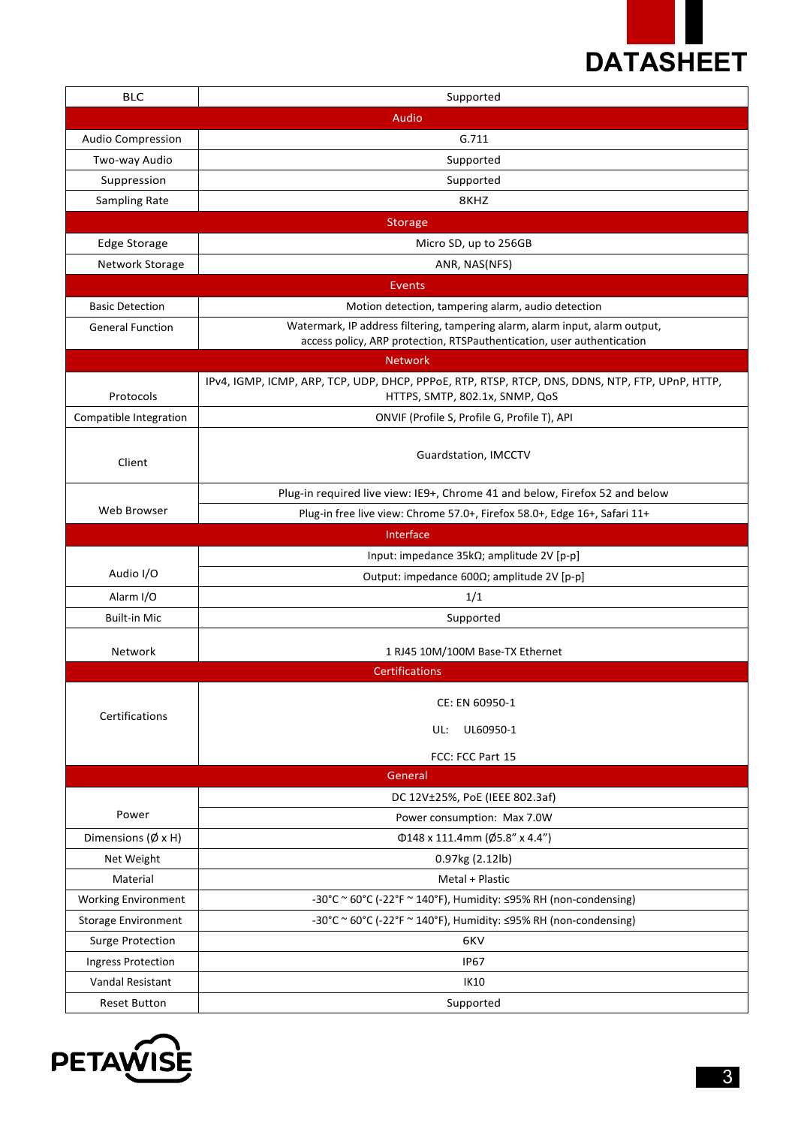

| <b>BLC</b>                    | Supported                                                                                                                                              |  |  |  |  |
|-------------------------------|--------------------------------------------------------------------------------------------------------------------------------------------------------|--|--|--|--|
|                               | Audio                                                                                                                                                  |  |  |  |  |
| <b>Audio Compression</b>      | G.711                                                                                                                                                  |  |  |  |  |
| Two-way Audio                 | Supported                                                                                                                                              |  |  |  |  |
| Suppression                   | Supported                                                                                                                                              |  |  |  |  |
| Sampling Rate                 | 8KHZ                                                                                                                                                   |  |  |  |  |
| <b>Storage</b>                |                                                                                                                                                        |  |  |  |  |
| <b>Edge Storage</b>           | Micro SD, up to 256GB                                                                                                                                  |  |  |  |  |
| Network Storage               | ANR, NAS(NFS)                                                                                                                                          |  |  |  |  |
| <b>Events</b>                 |                                                                                                                                                        |  |  |  |  |
| <b>Basic Detection</b>        | Motion detection, tampering alarm, audio detection                                                                                                     |  |  |  |  |
| <b>General Function</b>       | Watermark, IP address filtering, tampering alarm, alarm input, alarm output,<br>access policy, ARP protection, RTSPauthentication, user authentication |  |  |  |  |
|                               | <b>Network</b>                                                                                                                                         |  |  |  |  |
| Protocols                     | IPv4, IGMP, ICMP, ARP, TCP, UDP, DHCP, PPPoE, RTP, RTSP, RTCP, DNS, DDNS, NTP, FTP, UPnP, HTTP,<br>HTTPS, SMTP, 802.1x, SNMP, QoS                      |  |  |  |  |
| Compatible Integration        | ONVIF (Profile S, Profile G, Profile T), API                                                                                                           |  |  |  |  |
| Client                        | Guardstation, IMCCTV                                                                                                                                   |  |  |  |  |
|                               | Plug-in required live view: IE9+, Chrome 41 and below, Firefox 52 and below                                                                            |  |  |  |  |
| Web Browser                   | Plug-in free live view: Chrome 57.0+, Firefox 58.0+, Edge 16+, Safari 11+                                                                              |  |  |  |  |
|                               | Interface                                                                                                                                              |  |  |  |  |
|                               | Input: impedance $35k\Omega$ ; amplitude 2V [p-p]                                                                                                      |  |  |  |  |
| Audio I/O                     | Output: impedance 600Ω; amplitude 2V [p-p]                                                                                                             |  |  |  |  |
| Alarm I/O                     | 1/1                                                                                                                                                    |  |  |  |  |
| <b>Built-in Mic</b>           | Supported                                                                                                                                              |  |  |  |  |
| Network                       | 1 RJ45 10M/100M Base-TX Ethernet                                                                                                                       |  |  |  |  |
|                               | <b>Certifications</b>                                                                                                                                  |  |  |  |  |
| Certifications                | CE: EN 60950-1                                                                                                                                         |  |  |  |  |
|                               |                                                                                                                                                        |  |  |  |  |
|                               | UL:<br>UL60950-1                                                                                                                                       |  |  |  |  |
|                               | FCC: FCC Part 15                                                                                                                                       |  |  |  |  |
|                               | General                                                                                                                                                |  |  |  |  |
| Power                         | DC 12V±25%, PoE (IEEE 802.3af)                                                                                                                         |  |  |  |  |
|                               | Power consumption: Max 7.0W                                                                                                                            |  |  |  |  |
| Dimensions ( $\emptyset$ x H) | $\Phi$ 148 x 111.4mm (Ø5.8" x 4.4")                                                                                                                    |  |  |  |  |
| Net Weight                    | 0.97kg (2.12lb)                                                                                                                                        |  |  |  |  |
| Material                      | Metal + Plastic                                                                                                                                        |  |  |  |  |
| <b>Working Environment</b>    | -30°C ~ 60°C (-22°F ~ 140°F), Humidity: ≤95% RH (non-condensing)                                                                                       |  |  |  |  |
| <b>Storage Environment</b>    | -30°C ~ 60°C (-22°F ~ 140°F), Humidity: $\leq$ 95% RH (non-condensing)                                                                                 |  |  |  |  |
| <b>Surge Protection</b>       | 6KV                                                                                                                                                    |  |  |  |  |
| <b>Ingress Protection</b>     | <b>IP67</b>                                                                                                                                            |  |  |  |  |
| Vandal Resistant              | IK10                                                                                                                                                   |  |  |  |  |
| <b>Reset Button</b>           | Supported                                                                                                                                              |  |  |  |  |

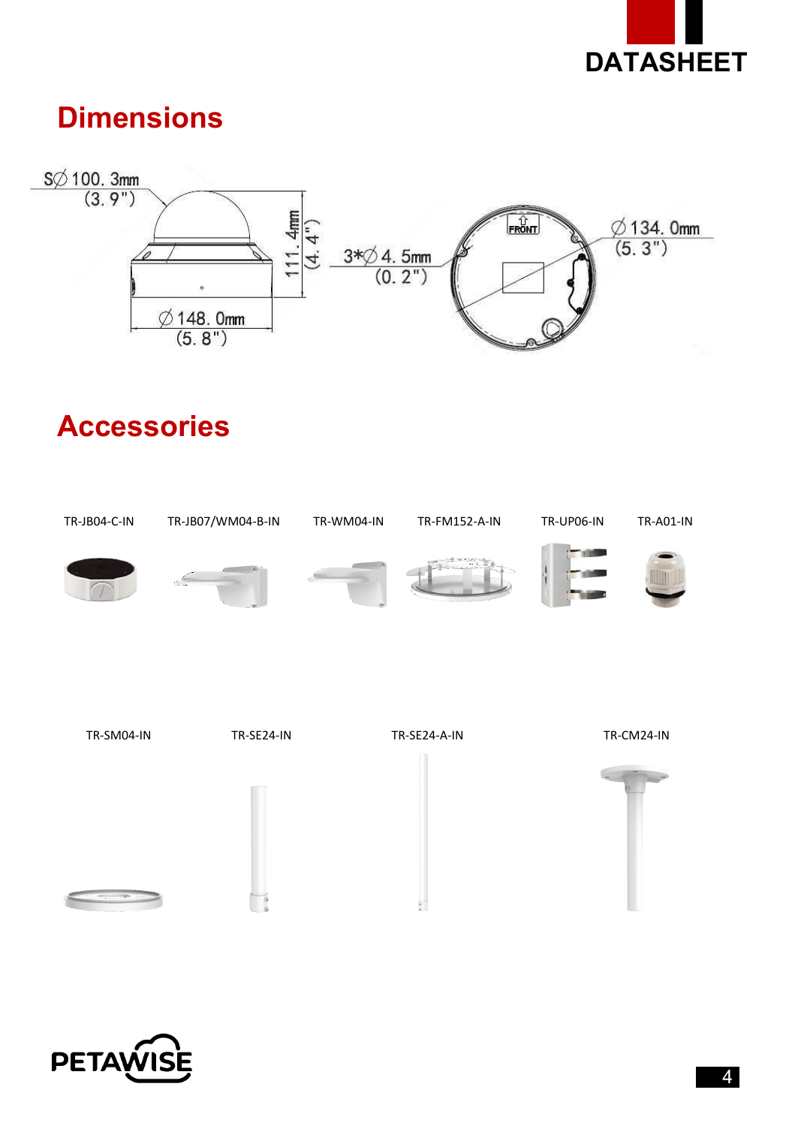

## **Dimensions**



# **Accessories**